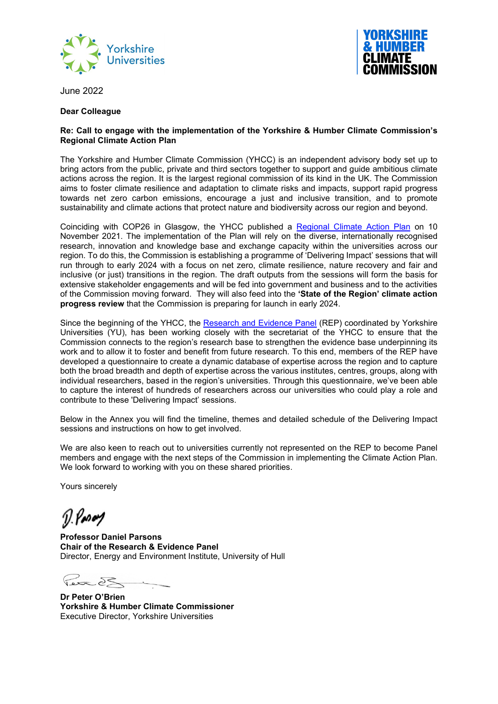



June 2022

#### **Dear Colleague**

#### **Re: Call to engage with the implementation of the Yorkshire & Humber Climate Commission's Regional Climate Action Plan**

The Yorkshire and Humber Climate Commission (YHCC) is an independent advisory body set up to bring actors from the public, private and third sectors together to support and guide ambitious climate actions across the region. It is the largest regional commission of its kind in the UK. The Commission aims to foster climate resilience and adaptation to climate risks and impacts, support rapid progress towards net zero carbon emissions, encourage a just and inclusive transition, and to promote sustainability and climate actions that protect nature and biodiversity across our region and beyond.

Coinciding with COP26 in Glasgow, the YHCC published a [Regional Climate Action Plan](https://yorksandhumberclimate.org.uk/climate-action-plan) on 10 November 2021. The implementation of the Plan will rely on the diverse, internationally recognised research, innovation and knowledge base and exchange capacity within the universities across our region. To do this, the Commission is establishing a programme of 'Delivering Impact' sessions that will run through to early 2024 with a focus on net zero, climate resilience, nature recovery and fair and inclusive (or just) transitions in the region. The draft outputs from the sessions will form the basis for extensive stakeholder engagements and will be fed into government and business and to the activities of the Commission moving forward. They will also feed into the **'State of the Region' climate action progress review** that the Commission is preparing for launch in early 2024.

Since the beginning of the YHCC, the [Research and Evidence Panel](https://yorkshireuniversities.ac.uk/home/yhcc-rep/) (REP) coordinated by Yorkshire Universities (YU), has been working closely with the secretariat of the YHCC to ensure that the Commission connects to the region's research base to strengthen the evidence base underpinning its work and to allow it to foster and benefit from future research. To this end, members of the REP have developed a questionnaire to create a dynamic database of expertise across the region and to capture both the broad breadth and depth of expertise across the various institutes, centres, groups, along with individual researchers, based in the region's universities. Through this questionnaire, we've been able to capture the interest of hundreds of researchers across our universities who could play a role and contribute to these 'Delivering Impact' sessions.

Below in the Annex you will find the timeline, themes and detailed schedule of the Delivering Impact sessions and instructions on how to get involved.

We are also keen to reach out to universities currently not represented on the REP to become Panel members and engage with the next steps of the Commission in implementing the Climate Action Plan. We look forward to working with you on these shared priorities.

Yours sincerely

 $\n *0.1*\n$ 

**Professor Daniel Parsons Chair of the Research & Evidence Panel** Director, Energy and Environment Institute, University of Hull

 $\geqslant$ 

**Dr Peter O'Brien Yorkshire & Humber Climate Commissioner** Executive Director, Yorkshire Universities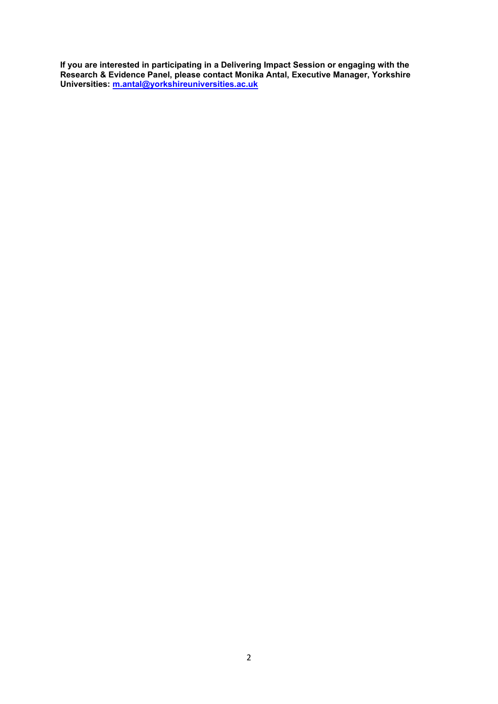**If you are interested in participating in a Delivering Impact Session or engaging with the Research & Evidence Panel, please contact Monika Antal, Executive Manager, Yorkshire Universities: [m.antal@yorkshireuniversities.ac.uk](mailto:m.antal@yorkshireuniversities.ac.uk)**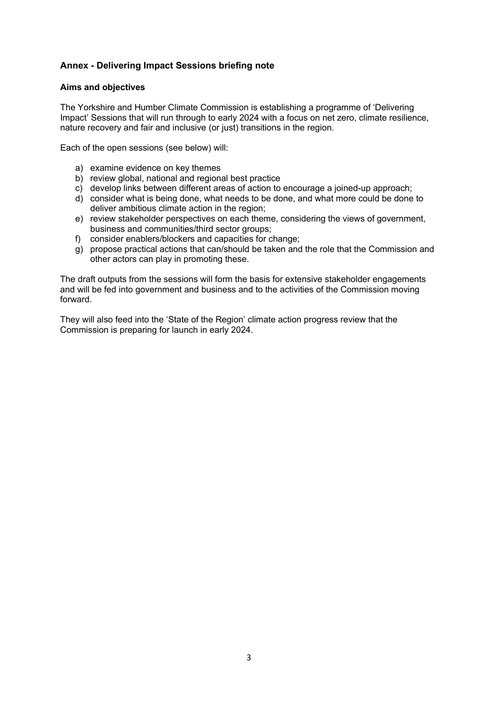# **Annex - Delivering Impact Sessions briefing note**

# **Aims and objectives**

The Yorkshire and Humber Climate Commission is establishing a programme of 'Delivering Impact' Sessions that will run through to early 2024 with a focus on net zero, climate resilience, nature recovery and fair and inclusive (or just) transitions in the region.

Each of the open sessions (see below) will:

- a) examine evidence on key themes
- b) review global, national and regional best practice
- c) develop links between different areas of action to encourage a joined-up approach;
- d) consider what is being done, what needs to be done, and what more could be done to deliver ambitious climate action in the region;
- e) review stakeholder perspectives on each theme, considering the views of government, business and communities/third sector groups;
- f) consider enablers/blockers and capacities for change;
- g) propose practical actions that can/should be taken and the role that the Commission and other actors can play in promoting these.

The draft outputs from the sessions will form the basis for extensive stakeholder engagements and will be fed into government and business and to the activities of the Commission moving forward.

They will also feed into the 'State of the Region' climate action progress review that the Commission is preparing for launch in early 2024.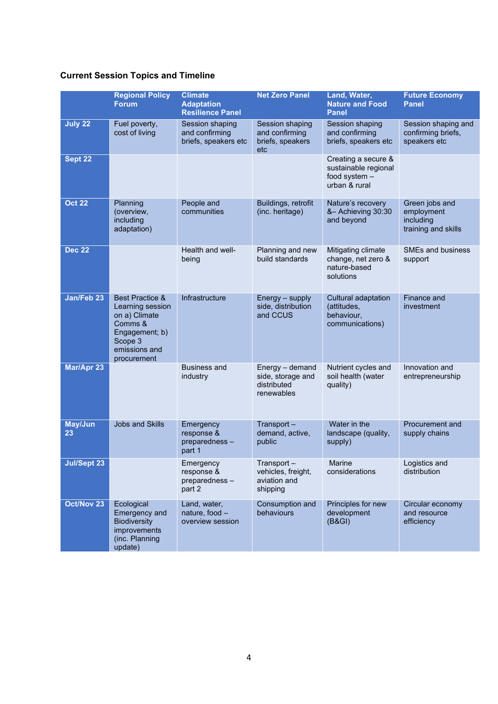# **Current Session Topics and Timeline**

|                      | <b>Regional Policy</b><br>Forum                                                                                                         | <b>Climate</b><br><b>Adaptation</b><br><b>Resilience Panel</b> | <b>Net Zero Panel</b>                                             | Land, Water,<br><b>Nature and Food</b><br><b>Panel</b>                        | <b>Future Economy</b><br><b>Panel</b>                            |
|----------------------|-----------------------------------------------------------------------------------------------------------------------------------------|----------------------------------------------------------------|-------------------------------------------------------------------|-------------------------------------------------------------------------------|------------------------------------------------------------------|
| July 22              | Fuel poverty,<br>cost of living                                                                                                         | Session shaping<br>and confirming<br>briefs, speakers etc      | Session shaping<br>and confirming<br>briefs, speakers<br>etc      | Session shaping<br>and confirming<br>briefs, speakers etc                     | Session shaping and<br>confirming briefs,<br>speakers etc        |
| Sept 22              |                                                                                                                                         |                                                                |                                                                   | Creating a secure &<br>sustainable regional<br>food system -<br>urban & rural |                                                                  |
| <b>Oct 22</b>        | Planning<br>(overview,<br>including<br>adaptation)                                                                                      | People and<br>communities                                      | Buildings, retrofit<br>(inc. heritage)                            | Nature's recovery<br>&- Achieving 30:30<br>and beyond                         | Green jobs and<br>employment<br>including<br>training and skills |
| <b>Dec 22</b>        |                                                                                                                                         | Health and well-<br>being                                      | Planning and new<br>build standards                               | Mitigating climate<br>change, net zero &<br>nature-based<br>solutions         | <b>SMEs and business</b><br>support                              |
| Jan/Feb 23           | <b>Best Practice &amp;</b><br>Learning session<br>on a) Climate<br>Comms &<br>Engagement; b)<br>Scope 3<br>emissions and<br>procurement | Infrastructure                                                 | Energy – supply<br>side, distribution<br>and CCUS                 | Cultural adaptation<br>(attitudes,<br>behaviour,<br>communications)           | Finance and<br>investment                                        |
| <b>Mar/Apr 23</b>    |                                                                                                                                         | <b>Business and</b><br>industry                                | Energy - demand<br>side, storage and<br>distributed<br>renewables | Nutrient cycles and<br>soil health (water<br>quality)                         | Innovation and<br>entrepreneurship                               |
| <b>May/Jun</b><br>23 | <b>Jobs and Skills</b>                                                                                                                  | Emergency<br>response &<br>preparedness-<br>part 1             | Transport-<br>demand, active,<br>public                           | Water in the<br>landscape (quality,<br>supply)                                | Procurement and<br>supply chains                                 |
| <b>Jul/Sept 23</b>   |                                                                                                                                         | Emergency<br>response &<br>preparedness-<br>part 2             | Transport<br>vehicles, freight,<br>aviation and<br>shipping       | Marine<br>considerations                                                      | Logistics and<br>distribution                                    |
| Oct/Nov 23           | Ecological<br><b>Emergency and</b><br><b>Biodiversity</b><br>improvements<br>(inc. Planning<br>update)                                  | Land, water,<br>nature, food -<br>overview session             | Consumption and<br>behaviours                                     | Principles for new<br>development<br>(B&GI)                                   | Circular economy<br>and resource<br>efficiency                   |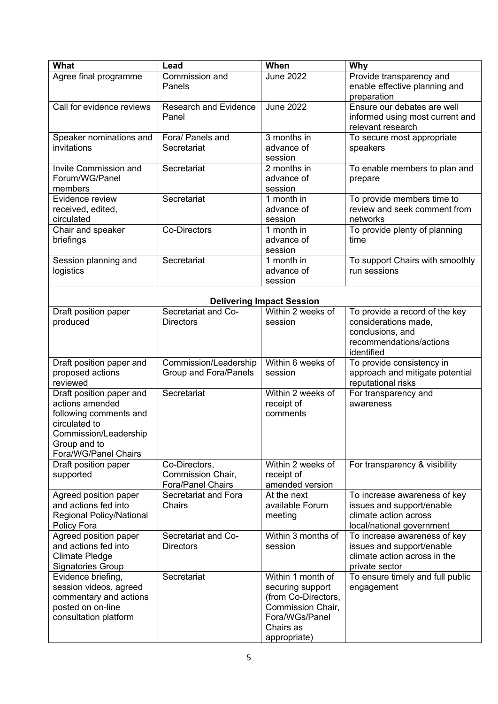| What                            | Lead                         | When                             | Why                              |
|---------------------------------|------------------------------|----------------------------------|----------------------------------|
| Agree final programme           | Commission and               | <b>June 2022</b>                 | Provide transparency and         |
|                                 | Panels                       |                                  | enable effective planning and    |
|                                 |                              |                                  | preparation                      |
| Call for evidence reviews       | <b>Research and Evidence</b> | <b>June 2022</b>                 | Ensure our debates are well      |
|                                 | Panel                        |                                  | informed using most current and  |
|                                 |                              |                                  | relevant research                |
| Speaker nominations and         | Fora/ Panels and             | 3 months in                      | To secure most appropriate       |
| invitations                     | Secretariat                  | advance of                       | speakers                         |
|                                 |                              | session                          |                                  |
| Invite Commission and           | Secretariat                  | 2 months in                      | To enable members to plan and    |
| Forum/WG/Panel                  |                              | advance of                       | prepare                          |
| members                         |                              | session                          |                                  |
| Evidence review                 | Secretariat                  | 1 month in                       | To provide members time to       |
| received, edited,               |                              | advance of                       | review and seek comment from     |
| circulated                      |                              | session                          | networks                         |
| Chair and speaker               | Co-Directors                 | 1 month in                       | To provide plenty of planning    |
| briefings                       |                              | advance of                       | time                             |
|                                 |                              | session                          |                                  |
| Session planning and            | Secretariat                  | 1 month in                       | To support Chairs with smoothly  |
| logistics                       |                              | advance of                       | run sessions                     |
|                                 |                              | session                          |                                  |
|                                 |                              |                                  |                                  |
|                                 |                              | <b>Delivering Impact Session</b> |                                  |
| Draft position paper            | Secretariat and Co-          | Within 2 weeks of                | To provide a record of the key   |
| produced                        | <b>Directors</b>             | session                          | considerations made,             |
|                                 |                              |                                  | conclusions, and                 |
|                                 |                              |                                  | recommendations/actions          |
|                                 |                              |                                  | identified                       |
| Draft position paper and        | Commission/Leadership        | Within 6 weeks of                | To provide consistency in        |
| proposed actions                | Group and Fora/Panels        | session                          | approach and mitigate potential  |
| reviewed                        |                              |                                  | reputational risks               |
| Draft position paper and        | Secretariat                  | Within 2 weeks of                | For transparency and             |
| actions amended                 |                              | receipt of                       | awareness                        |
| following comments and          |                              | comments                         |                                  |
| circulated to                   |                              |                                  |                                  |
| Commission/Leadership           |                              |                                  |                                  |
| Group and to                    |                              |                                  |                                  |
| Fora/WG/Panel Chairs            |                              |                                  |                                  |
| Draft position paper            | Co-Directors,                | Within 2 weeks of                | For transparency & visibility    |
| supported                       | Commission Chair,            | receipt of                       |                                  |
|                                 | <b>Fora/Panel Chairs</b>     | amended version                  |                                  |
| Agreed position paper           | Secretariat and Fora         | $\overline{At}$ the next         | To increase awareness of key     |
| and actions fed into            | Chairs                       | available Forum                  | issues and support/enable        |
| <b>Regional Policy/National</b> |                              | meeting                          | climate action across            |
| Policy Fora                     |                              |                                  | local/national government        |
| Agreed position paper           | Secretariat and Co-          | Within 3 months of               | To increase awareness of key     |
| and actions fed into            | <b>Directors</b>             | session                          | issues and support/enable        |
| <b>Climate Pledge</b>           |                              |                                  | climate action across in the     |
| <b>Signatories Group</b>        |                              |                                  | private sector                   |
| Evidence briefing,              | Secretariat                  | Within 1 month of                | To ensure timely and full public |
| session videos, agreed          |                              | securing support                 | engagement                       |
| commentary and actions          |                              | (from Co-Directors,              |                                  |
| posted on on-line               |                              | Commission Chair,                |                                  |
| consultation platform           |                              | Fora/WGs/Panel                   |                                  |
|                                 |                              | Chairs as                        |                                  |
|                                 |                              | appropriate)                     |                                  |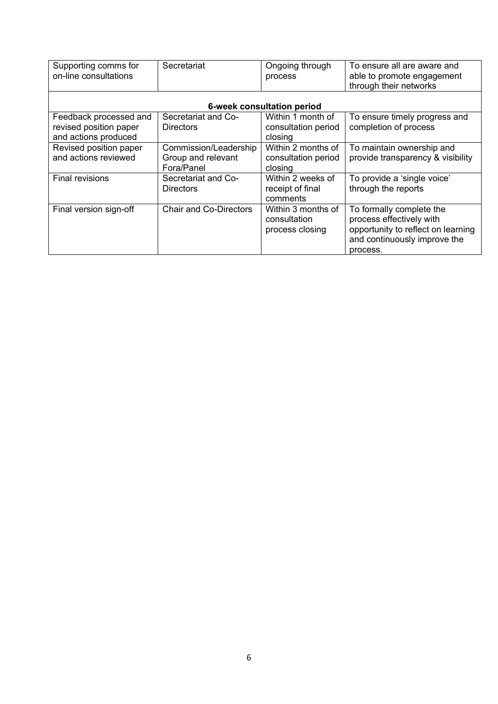| Supporting comms for<br>on-line consultations                            | Secretariat                                               | Ongoing through<br>process                            | To ensure all are aware and<br>able to promote engagement<br>through their networks                                                    |  |  |  |  |  |
|--------------------------------------------------------------------------|-----------------------------------------------------------|-------------------------------------------------------|----------------------------------------------------------------------------------------------------------------------------------------|--|--|--|--|--|
| 6-week consultation period                                               |                                                           |                                                       |                                                                                                                                        |  |  |  |  |  |
| Feedback processed and<br>revised position paper<br>and actions produced | Secretariat and Co-<br>Directors                          | Within 1 month of<br>consultation period<br>closing   | To ensure timely progress and<br>completion of process                                                                                 |  |  |  |  |  |
| Revised position paper<br>and actions reviewed                           | Commission/Leadership<br>Group and relevant<br>Fora/Panel | Within 2 months of<br>consultation period<br>closing  | To maintain ownership and<br>provide transparency & visibility                                                                         |  |  |  |  |  |
| <b>Final revisions</b>                                                   | Secretariat and Co-<br><b>Directors</b>                   | Within 2 weeks of<br>receipt of final<br>comments     | To provide a 'single voice'<br>through the reports                                                                                     |  |  |  |  |  |
| Final version sign-off                                                   | <b>Chair and Co-Directors</b>                             | Within 3 months of<br>consultation<br>process closing | To formally complete the<br>process effectively with<br>opportunity to reflect on learning<br>and continuously improve the<br>process. |  |  |  |  |  |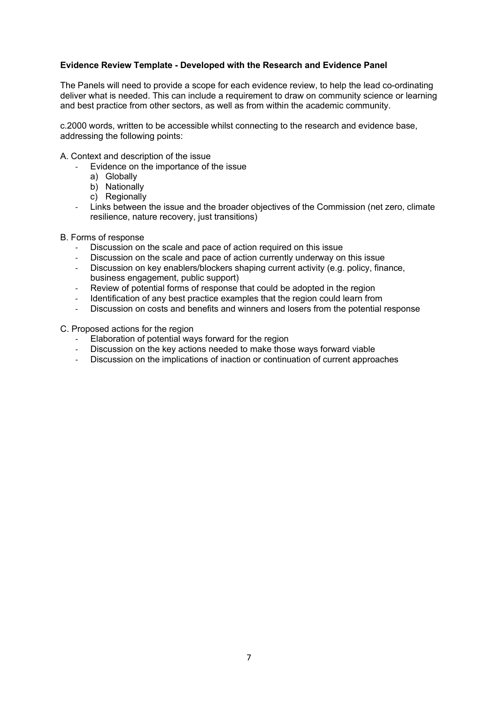# **Evidence Review Template - Developed with the Research and Evidence Panel**

The Panels will need to provide a scope for each evidence review, to help the lead co-ordinating deliver what is needed. This can include a requirement to draw on community science or learning and best practice from other sectors, as well as from within the academic community.

c.2000 words, written to be accessible whilst connecting to the research and evidence base, addressing the following points:

A. Context and description of the issue

- Evidence on the importance of the issue
	- a) Globally
	- b) Nationally
	- c) Regionally
- Links between the issue and the broader objectives of the Commission (net zero, climate resilience, nature recovery, just transitions)

#### B. Forms of response

- Discussion on the scale and pace of action required on this issue
- Discussion on the scale and pace of action currently underway on this issue
- Discussion on key enablers/blockers shaping current activity (e.g. policy, finance, business engagement, public support)
- Review of potential forms of response that could be adopted in the region
- Identification of any best practice examples that the region could learn from<br>- Discussion on costs and benefits and winners and losers from the potential
- Discussion on costs and benefits and winners and losers from the potential response

C. Proposed actions for the region

- Elaboration of potential ways forward for the region
- Discussion on the key actions needed to make those ways forward viable
- Discussion on the implications of inaction or continuation of current approaches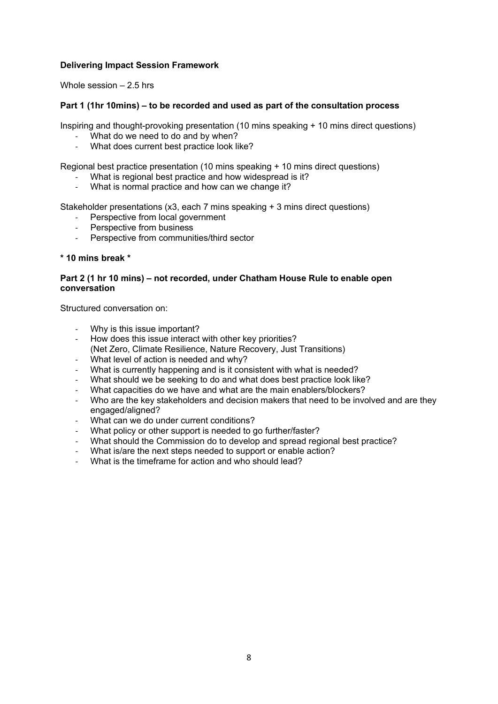# **Delivering Impact Session Framework**

Whole session  $-2.5$  hrs

# **Part 1 (1hr 10mins) – to be recorded and used as part of the consultation process**

Inspiring and thought-provoking presentation (10 mins speaking + 10 mins direct questions)

- What do we need to do and by when?
- What does current best practice look like?

Regional best practice presentation (10 mins speaking + 10 mins direct questions)

- What is regional best practice and how widespread is it?
- What is normal practice and how can we change it?

Stakeholder presentations (x3, each 7 mins speaking + 3 mins direct questions)

- Perspective from local government
- Perspective from business
- Perspective from communities/third sector

# **\* 10 mins break \***

# **Part 2 (1 hr 10 mins) – not recorded, under Chatham House Rule to enable open conversation**

Structured conversation on:

- Why is this issue important?
- How does this issue interact with other key priorities? (Net Zero, Climate Resilience, Nature Recovery, Just Transitions)
- What level of action is needed and why?
- What is currently happening and is it consistent with what is needed?
- What should we be seeking to do and what does best practice look like?
- What capacities do we have and what are the main enablers/blockers?
- Who are the key stakeholders and decision makers that need to be involved and are they engaged/aligned?
- What can we do under current conditions?
- What policy or other support is needed to go further/faster?
- What should the Commission do to develop and spread regional best practice?
- What is/are the next steps needed to support or enable action?
- What is the timeframe for action and who should lead?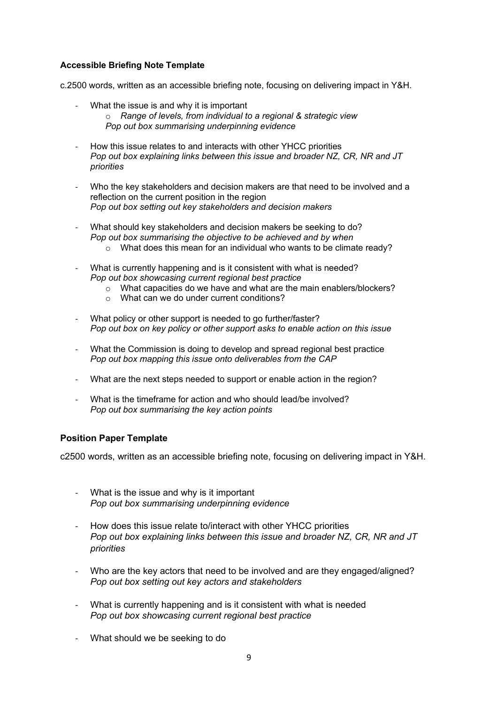# **Accessible Briefing Note Template**

c.2500 words, written as an accessible briefing note, focusing on delivering impact in Y&H.

- What the issue is and why it is important o *Range of levels, from individual to a regional & strategic view Pop out box summarising underpinning evidence*
- How this issue relates to and interacts with other YHCC priorities *Pop out box explaining links between this issue and broader NZ, CR, NR and JT priorities*
- Who the key stakeholders and decision makers are that need to be involved and a reflection on the current position in the region *Pop out box setting out key stakeholders and decision makers*
- What should key stakeholders and decision makers be seeking to do? *Pop out box summarising the objective to be achieved and by when* o What does this mean for an individual who wants to be climate ready?
- What is currently happening and is it consistent with what is needed? *Pop out box showcasing current regional best practice* 
	- o What capacities do we have and what are the main enablers/blockers?
	- o What can we do under current conditions?
- What policy or other support is needed to go further/faster? *Pop out box on key policy or other support asks to enable action on this issue*
- What the Commission is doing to develop and spread regional best practice *Pop out box mapping this issue onto deliverables from the CAP*
- What are the next steps needed to support or enable action in the region?
- What is the timeframe for action and who should lead/be involved? *Pop out box summarising the key action points*

# **Position Paper Template**

c2500 words, written as an accessible briefing note, focusing on delivering impact in Y&H.

- What is the issue and why is it important *Pop out box summarising underpinning evidence*
- How does this issue relate to/interact with other YHCC priorities *Pop out box explaining links between this issue and broader NZ, CR, NR and JT priorities*
- Who are the key actors that need to be involved and are they engaged/aligned? *Pop out box setting out key actors and stakeholders*
- What is currently happening and is it consistent with what is needed *Pop out box showcasing current regional best practice*
- What should we be seeking to do